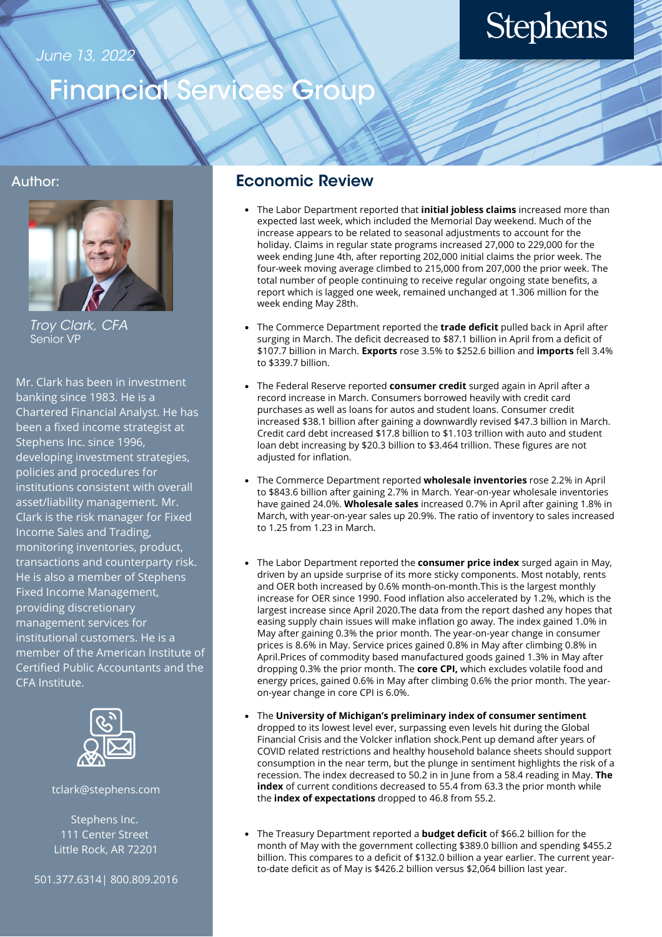#### June 13, 2022

# **Stephens**

### Financial Services Group

#### Author:



Troy Clark, CFA Senior VP

Mr. Clark has been in investment banking since 1983. He is a Chartered Financial Analyst. He has been a fixed income strategist at Stephens Inc. since 1996, developing investment strategies, policies and procedures for institutions consistent with overall asset/liability management. Mr. Clark is the risk manager for Fixed Income Sales and Trading, monitoring inventories, product, transactions and counterparty risk. He is also a member of Stephens Fixed Income Management, providing discretionary management services for institutional customers. He is a member of the American Institute of Certified Public Accountants and the CFA Institute.



tclark@stephens.com

Stephens Inc. 111 Center Street Little Rock, AR 72201

501.377.6314| 800.809.2016

#### Economic Review

- The Labor Department reported that **initial jobless claims** increased more than expected last week, which included the Memorial Day weekend. Much of the increase appears to be related to seasonal adjustments to account for the holiday. Claims in regular state programs increased 27,000 to 229,000 for the week ending June 4th, after reporting 202,000 initial claims the prior week. The four-week moving average climbed to 215,000 from 207,000 the prior week. The total number of people continuing to receive regular ongoing state benefits, a report which is lagged one week, remained unchanged at 1.306 million for the week ending May 28th.
- The Commerce Department reported the **trade deficit** pulled back in April after surging in March. The deficit decreased to \$87.1 billion in April from a deficit of \$107.7 billion in March. **Exports** rose 3.5% to \$252.6 billion and **imports** fell 3.4% to \$339.7 billion.
- The Federal Reserve reported **consumer credit** surged again in April after a record increase in March. Consumers borrowed heavily with credit card purchases as well as loans for autos and student loans. Consumer credit increased \$38.1 billion after gaining a downwardly revised \$47.3 billion in March. Credit card debt increased \$17.8 billion to \$1.103 trillion with auto and student loan debt increasing by \$20.3 billion to \$3.464 trillion. These figures are not adjusted for inflation.
- The Commerce Department reported **wholesale inventories** rose 2.2% in April to \$843.6 billion after gaining 2.7% in March. Year-on-year wholesale inventories have gained 24.0%. **Wholesale sales** increased 0.7% in April after gaining 1.8% in March, with year-on-year sales up 20.9%. The ratio of inventory to sales increased to 1.25 from 1.23 in March.
- The Labor Department reported the **consumer price index** surged again in May, driven by an upside surprise of its more sticky components. Most notably, rents and OER both increased by 0.6% month-on-month.This is the largest monthly increase for OER since 1990. Food inflation also accelerated by 1.2%, which is the largest increase since April 2020.The data from the report dashed any hopes that easing supply chain issues will make inflation go away. The index gained 1.0% in May after gaining 0.3% the prior month. The year-on-year change in consumer prices is 8.6% in May. Service prices gained 0.8% in May after climbing 0.8% in April.Prices of commodity based manufactured goods gained 1.3% in May after dropping 0.3% the prior month. The **core CPI,** which excludes volatile food and energy prices, gained 0.6% in May after climbing 0.6% the prior month. The yearon-year change in core CPI is 6.0%.
- The **University of Michigan's preliminary index of consumer sentiment** dropped to its lowest level ever, surpassing even levels hit during the Global Financial Crisis and the Volcker inflation shock.Pent up demand after years of COVID related restrictions and healthy household balance sheets should support consumption in the near term, but the plunge in sentiment highlights the risk of a recession. The index decreased to 50.2 in in June from a 58.4 reading in May. **The index** of current conditions decreased to 55.4 from 63.3 the prior month while the **index of expectations** dropped to 46.8 from 55.2.
- The Treasury Department reported a **budget deficit** of \$66.2 billion for the month of May with the government collecting \$389.0 billion and spending \$455.2 billion. This compares to a deficit of \$132.0 billion a year earlier. The current yearto-date deficit as of May is \$426.2 billion versus \$2,064 billion last year.